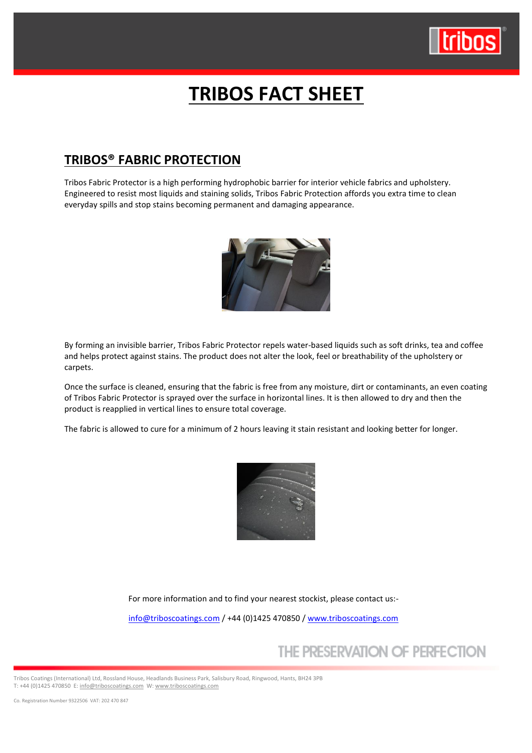

# **TRIBOS FACT SHEET**

### **TRIBOS® FABRIC PROTECTION**

Tribos Fabric Protector is a high performing hydrophobic barrier for interior vehicle fabrics and upholstery. Engineered to resist most liquids and staining solids, Tribos Fabric Protection affords you extra time to clean everyday spills and stop stains becoming permanent and damaging appearance.



By forming an invisible barrier, Tribos Fabric Protector repels water-based liquids such as soft drinks, tea and coffee and helps protect against stains. The product does not alter the look, feel or breathability of the upholstery or carpets.

Once the surface is cleaned, ensuring that the fabric is free from any moisture, dirt or contaminants, an even coating of Tribos Fabric Protector is sprayed over the surface in horizontal lines. It is then allowed to dry and then the product is reapplied in vertical lines to ensure total coverage.

The fabric is allowed to cure for a minimum of 2 hours leaving it stain resistant and looking better for longer.



For more information and to find your nearest stockist, please contact us:-

[info@triboscoatings.com](mailto:info@triboscoatings.com) / +44 (0)1425 470850 / [www.triboscoatings.com](http://www.triboscoatings.com/)

# THE PRESERVATION OF PERFECTION

Tribos Coatings (International) Ltd, Rossland House, Headlands Business Park, Salisbury Road, Ringwood, Hants, BH24 3PB T: +44 (0)1425 470850 E[: info@triboscoatings.com](mailto:info@triboscoatings.com) W[: www.triboscoatings.com](http://www.triboscoatings.com/)